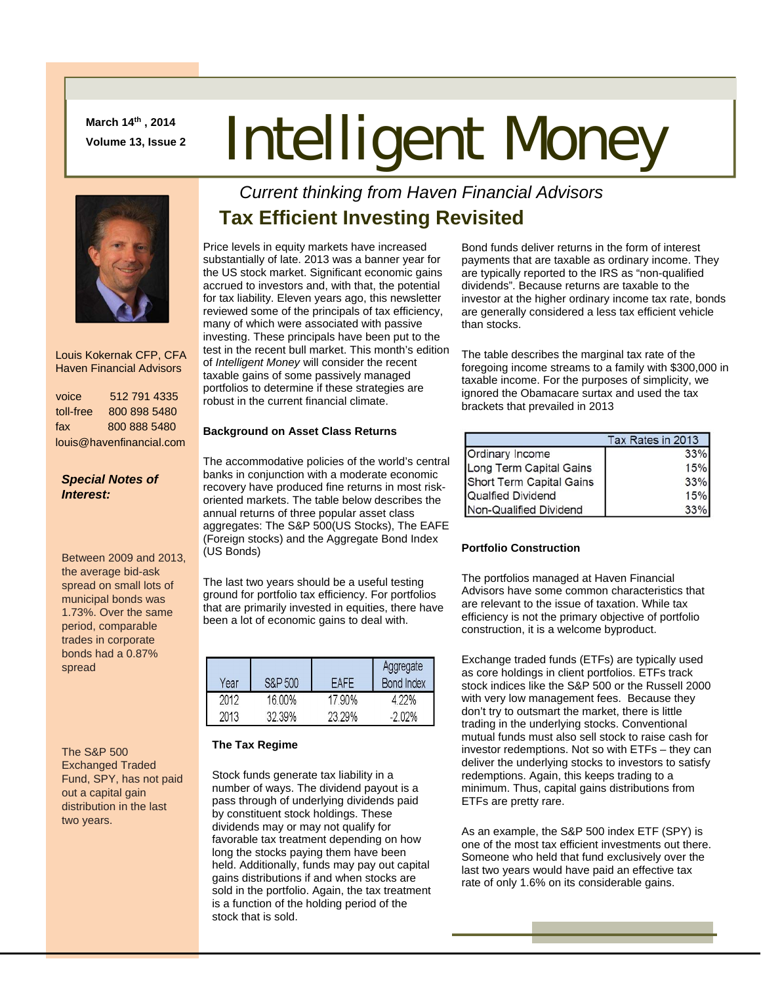**March 14th , 2014** 

# March 14th, 2014<br>Volume 13, Issue 2 **Intelligent Money**



 Louis Kokernak CFP, CFA Haven Financial Advisors

| voice                    | 512 791 4335 |  |  |
|--------------------------|--------------|--|--|
| toll-free                | 800 898 5480 |  |  |
| fax                      | 800 888 5480 |  |  |
| louis@havenfinancial.com |              |  |  |

#### *Special Notes of Interest:*

Between 2009 and 2013, the average bid-ask spread on small lots of municipal bonds was 1.73%. Over the same period, comparable trades in corporate bonds had a 0.87% spread

The S&P 500 Exchanged Traded Fund, SPY, has not paid out a capital gain distribution in the last two years.

### *Current thinking from Haven Financial Advisors*  **Tax Efficient Investing Revisited**

Price levels in equity markets have increased substantially of late. 2013 was a banner year for the US stock market. Significant economic gains accrued to investors and, with that, the potential for tax liability. Eleven years ago, this newsletter reviewed some of the principals of tax efficiency, many of which were associated with passive investing. These principals have been put to the test in the recent bull market. This month's edition of *Intelligent Money* will consider the recent taxable gains of some passively managed portfolios to determine if these strategies are robust in the current financial climate.

#### **Background on Asset Class Returns**

The accommodative policies of the world's central banks in conjunction with a moderate economic recovery have produced fine returns in most riskoriented markets. The table below describes the annual returns of three popular asset class aggregates: The S&P 500(US Stocks), The EAFE (Foreign stocks) and the Aggregate Bond Index (US Bonds)

The last two years should be a useful testing ground for portfolio tax efficiency. For portfolios that are primarily invested in equities, there have been a lot of economic gains to deal with.

| Year | S&P 500 | <b>EAFE</b> | Aggregate<br><b>Bond Index</b> |
|------|---------|-------------|--------------------------------|
| 2012 | 16.00%  | 17.90%      | 4 22%                          |
| 2013 | 3239%   | 23.29%      | $-2.02\%$                      |

#### **The Tax Regime**

Stock funds generate tax liability in a number of ways. The dividend payout is a pass through of underlying dividends paid by constituent stock holdings. These dividends may or may not qualify for favorable tax treatment depending on how long the stocks paying them have been held. Additionally, funds may pay out capital gains distributions if and when stocks are sold in the portfolio. Again, the tax treatment is a function of the holding period of the stock that is sold.

Bond funds deliver returns in the form of interest payments that are taxable as ordinary income. They are typically reported to the IRS as "non-qualified dividends". Because returns are taxable to the investor at the higher ordinary income tax rate, bonds are generally considered a less tax efficient vehicle than stocks.

The table describes the marginal tax rate of the foregoing income streams to a family with \$300,000 in taxable income. For the purposes of simplicity, we ignored the Obamacare surtax and used the tax brackets that prevailed in 2013

|                          | Tax Rates in 2013 |
|--------------------------|-------------------|
| Ordinary Income          | 33%               |
| Long Term Capital Gains  | 15%               |
| Short Term Capital Gains | 33%               |
| Qualfied Dividend        | 15%               |
| Non-Qualified Dividend   | 33%               |

#### **Portfolio Construction**

The portfolios managed at Haven Financial Advisors have some common characteristics that are relevant to the issue of taxation. While tax efficiency is not the primary objective of portfolio construction, it is a welcome byproduct.

Exchange traded funds (ETFs) are typically used as core holdings in client portfolios. ETFs track stock indices like the S&P 500 or the Russell 2000 with very low management fees. Because they don't try to outsmart the market, there is little trading in the underlying stocks. Conventional mutual funds must also sell stock to raise cash for investor redemptions. Not so with ETFs – they can deliver the underlying stocks to investors to satisfy redemptions. Again, this keeps trading to a minimum. Thus, capital gains distributions from ETFs are pretty rare.

As an example, the S&P 500 index ETF (SPY) is one of the most tax efficient investments out there. Someone who held that fund exclusively over the last two years would have paid an effective tax rate of only 1.6% on its considerable gains.